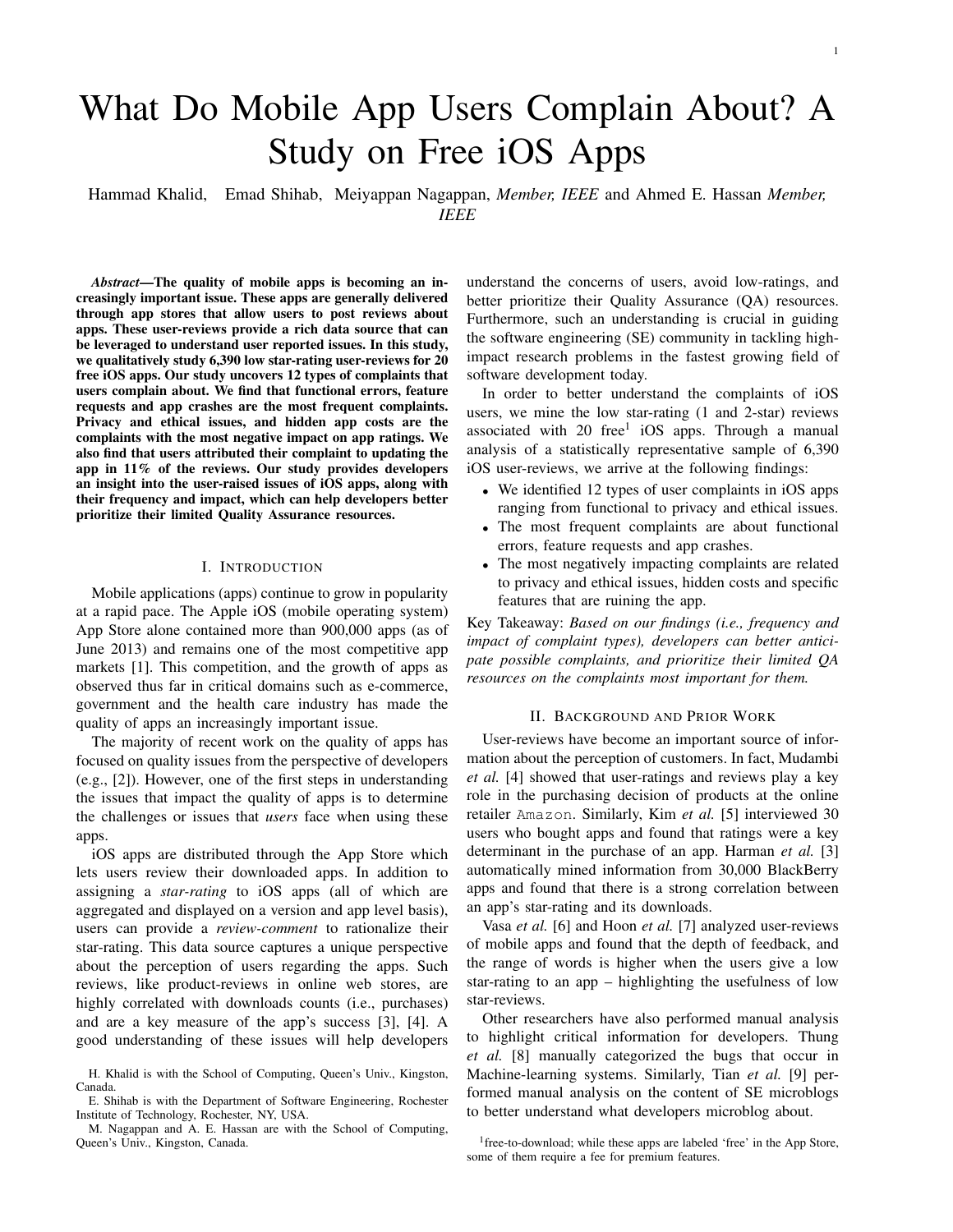# What Do Mobile App Users Complain About? A Study on Free iOS Apps

Hammad Khalid, Emad Shihab, Meiyappan Nagappan, *Member, IEEE* and Ahmed E. Hassan *Member, IEEE*

*Abstract*—The quality of mobile apps is becoming an increasingly important issue. These apps are generally delivered through app stores that allow users to post reviews about apps. These user-reviews provide a rich data source that can be leveraged to understand user reported issues. In this study, we qualitatively study 6,390 low star-rating user-reviews for 20 free iOS apps. Our study uncovers 12 types of complaints that users complain about. We find that functional errors, feature requests and app crashes are the most frequent complaints. Privacy and ethical issues, and hidden app costs are the complaints with the most negative impact on app ratings. We also find that users attributed their complaint to updating the app in 11% of the reviews. Our study provides developers an insight into the user-raised issues of iOS apps, along with their frequency and impact, which can help developers better prioritize their limited Quality Assurance resources.

# I. INTRODUCTION

Mobile applications (apps) continue to grow in popularity at a rapid pace. The Apple iOS (mobile operating system) App Store alone contained more than 900,000 apps (as of June 2013) and remains one of the most competitive app markets [1]. This competition, and the growth of apps as observed thus far in critical domains such as e-commerce, government and the health care industry has made the quality of apps an increasingly important issue.

The majority of recent work on the quality of apps has focused on quality issues from the perspective of developers (e.g., [2]). However, one of the first steps in understanding the issues that impact the quality of apps is to determine the challenges or issues that *users* face when using these apps.

iOS apps are distributed through the App Store which lets users review their downloaded apps. In addition to assigning a *star-rating* to iOS apps (all of which are aggregated and displayed on a version and app level basis), users can provide a *review-comment* to rationalize their star-rating. This data source captures a unique perspective about the perception of users regarding the apps. Such reviews, like product-reviews in online web stores, are highly correlated with downloads counts (i.e., purchases) and are a key measure of the app's success [3], [4]. A good understanding of these issues will help developers understand the concerns of users, avoid low-ratings, and better prioritize their Quality Assurance (QA) resources. Furthermore, such an understanding is crucial in guiding the software engineering (SE) community in tackling highimpact research problems in the fastest growing field of software development today.

1

In order to better understand the complaints of iOS users, we mine the low star-rating (1 and 2-star) reviews associated with 20 free<sup>1</sup> iOS apps. Through a manual analysis of a statistically representative sample of 6,390 iOS user-reviews, we arrive at the following findings:

- We identified 12 types of user complaints in iOS apps ranging from functional to privacy and ethical issues.
- The most frequent complaints are about functional errors, feature requests and app crashes.
- The most negatively impacting complaints are related to privacy and ethical issues, hidden costs and specific features that are ruining the app.

Key Takeaway: *Based on our findings (i.e., frequency and impact of complaint types), developers can better anticipate possible complaints, and prioritize their limited QA resources on the complaints most important for them.*

#### II. BACKGROUND AND PRIOR WORK

User-reviews have become an important source of information about the perception of customers. In fact, Mudambi *et al.* [4] showed that user-ratings and reviews play a key role in the purchasing decision of products at the online retailer Amazon. Similarly, Kim *et al.* [5] interviewed 30 users who bought apps and found that ratings were a key determinant in the purchase of an app. Harman *et al.* [3] automatically mined information from 30,000 BlackBerry apps and found that there is a strong correlation between an app's star-rating and its downloads.

Vasa *et al.* [6] and Hoon *et al.* [7] analyzed user-reviews of mobile apps and found that the depth of feedback, and the range of words is higher when the users give a low star-rating to an app – highlighting the usefulness of low star-reviews.

Other researchers have also performed manual analysis to highlight critical information for developers. Thung *et al.* [8] manually categorized the bugs that occur in Machine-learning systems. Similarly, Tian *et al.* [9] performed manual analysis on the content of SE microblogs to better understand what developers microblog about.

H. Khalid is with the School of Computing, Queen's Univ., Kingston, Canada.

E. Shihab is with the Department of Software Engineering, Rochester Institute of Technology, Rochester, NY, USA.

M. Nagappan and A. E. Hassan are with the School of Computing, Queen's Univ., Kingston, Canada.

<sup>&</sup>lt;sup>1</sup> free-to-download; while these apps are labeled 'free' in the App Store, some of them require a fee for premium features.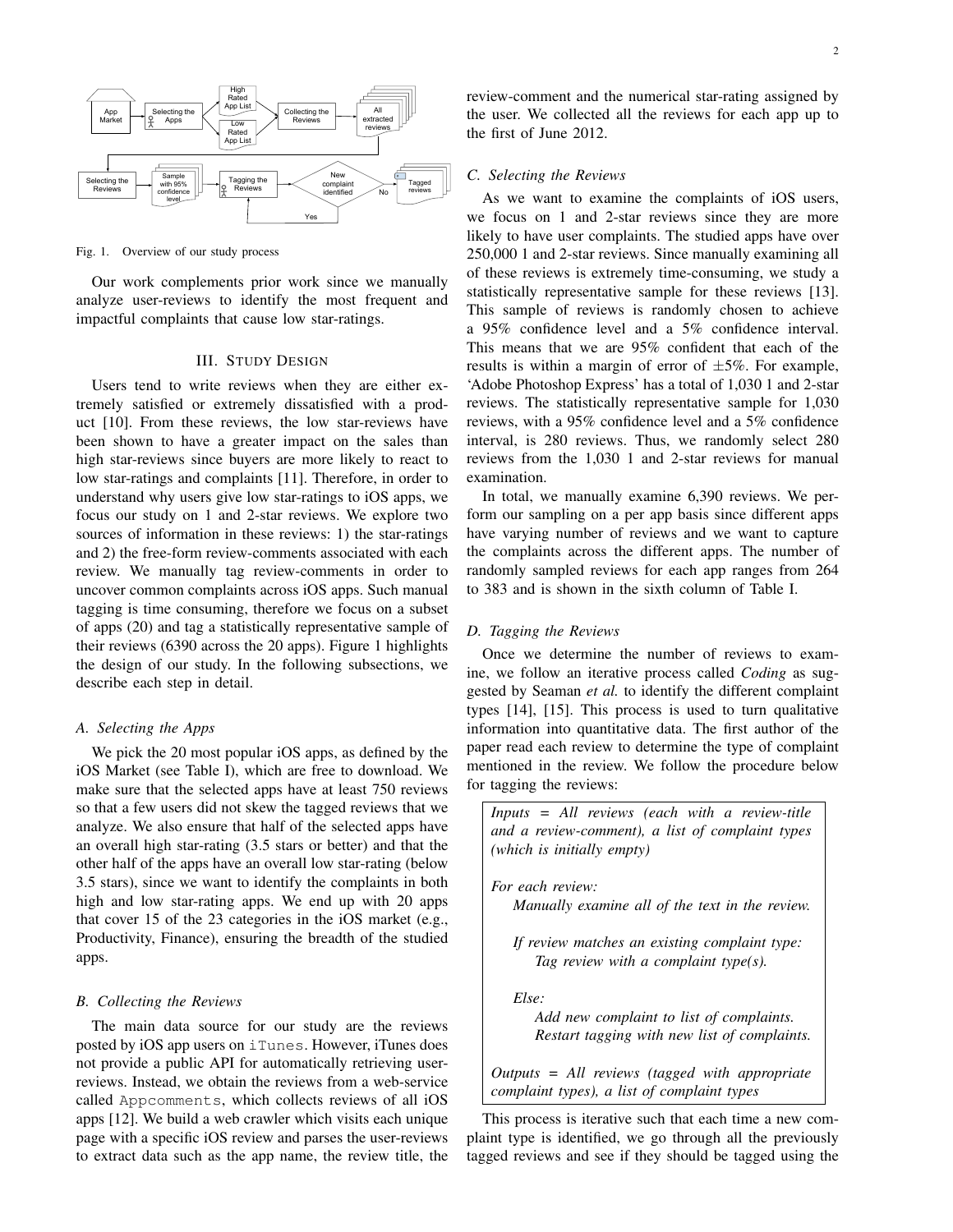

Fig. 1. Overview of our study process

Our work complements prior work since we manually analyze user-reviews to identify the most frequent and impactful complaints that cause low star-ratings.

# III. STUDY DESIGN

Users tend to write reviews when they are either extremely satisfied or extremely dissatisfied with a product [10]. From these reviews, the low star-reviews have been shown to have a greater impact on the sales than high star-reviews since buyers are more likely to react to low star-ratings and complaints [11]. Therefore, in order to understand why users give low star-ratings to iOS apps, we focus our study on 1 and 2-star reviews. We explore two sources of information in these reviews: 1) the star-ratings and 2) the free-form review-comments associated with each review. We manually tag review-comments in order to uncover common complaints across iOS apps. Such manual tagging is time consuming, therefore we focus on a subset of apps (20) and tag a statistically representative sample of their reviews (6390 across the 20 apps). Figure 1 highlights the design of our study. In the following subsections, we describe each step in detail.

#### *A. Selecting the Apps*

We pick the 20 most popular iOS apps, as defined by the iOS Market (see Table I), which are free to download. We make sure that the selected apps have at least 750 reviews so that a few users did not skew the tagged reviews that we analyze. We also ensure that half of the selected apps have an overall high star-rating (3.5 stars or better) and that the other half of the apps have an overall low star-rating (below 3.5 stars), since we want to identify the complaints in both high and low star-rating apps. We end up with 20 apps that cover 15 of the 23 categories in the iOS market (e.g., Productivity, Finance), ensuring the breadth of the studied apps.

# *B. Collecting the Reviews*

The main data source for our study are the reviews posted by iOS app users on iTunes. However, iTunes does not provide a public API for automatically retrieving userreviews. Instead, we obtain the reviews from a web-service called Appcomments, which collects reviews of all iOS apps [12]. We build a web crawler which visits each unique page with a specific iOS review and parses the user-reviews to extract data such as the app name, the review title, the

review-comment and the numerical star-rating assigned by the user. We collected all the reviews for each app up to the first of June 2012.

#### *C. Selecting the Reviews*

As we want to examine the complaints of iOS users, we focus on 1 and 2-star reviews since they are more likely to have user complaints. The studied apps have over 250,000 1 and 2-star reviews. Since manually examining all of these reviews is extremely time-consuming, we study a statistically representative sample for these reviews [13]. This sample of reviews is randomly chosen to achieve a 95% confidence level and a 5% confidence interval. This means that we are 95% confident that each of the results is within a margin of error of  $\pm 5\%$ . For example, 'Adobe Photoshop Express' has a total of 1,030 1 and 2-star reviews. The statistically representative sample for 1,030 reviews, with a 95% confidence level and a 5% confidence interval, is 280 reviews. Thus, we randomly select 280 reviews from the 1,030 1 and 2-star reviews for manual examination.

In total, we manually examine 6,390 reviews. We perform our sampling on a per app basis since different apps have varying number of reviews and we want to capture the complaints across the different apps. The number of randomly sampled reviews for each app ranges from 264 to 383 and is shown in the sixth column of Table I.

# *D. Tagging the Reviews*

Once we determine the number of reviews to examine, we follow an iterative process called *Coding* as suggested by Seaman *et al.* to identify the different complaint types [14], [15]. This process is used to turn qualitative information into quantitative data. The first author of the paper read each review to determine the type of complaint mentioned in the review. We follow the procedure below for tagging the reviews:

*Inputs = All reviews (each with a review-title and a review-comment), a list of complaint types (which is initially empty)*

*For each review:*

*Manually examine all of the text in the review.*

*If review matches an existing complaint type: Tag review with a complaint type(s).*

*Else:*

*Add new complaint to list of complaints. Restart tagging with new list of complaints.*

*Outputs = All reviews (tagged with appropriate complaint types), a list of complaint types*

This process is iterative such that each time a new complaint type is identified, we go through all the previously tagged reviews and see if they should be tagged using the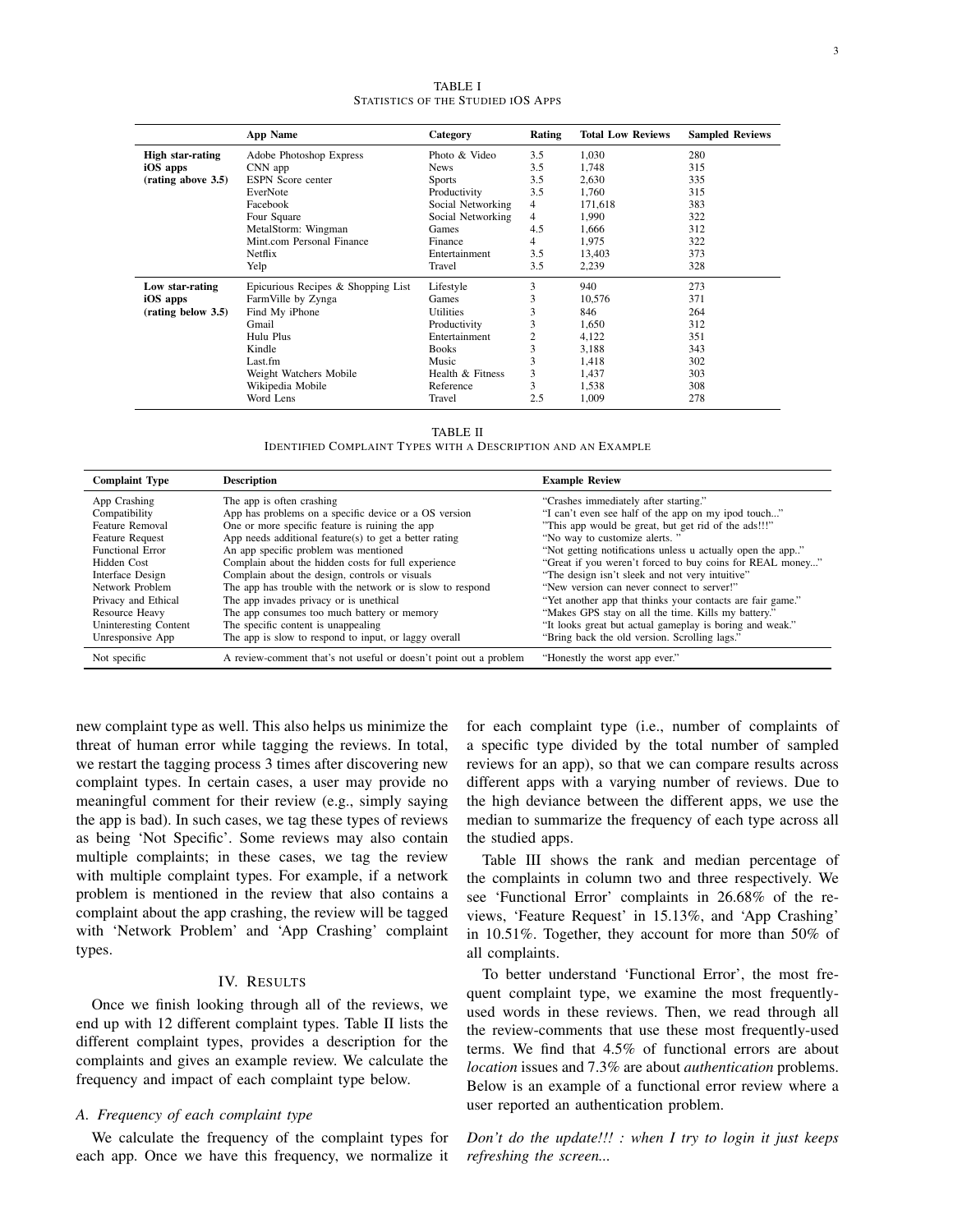App Name Category Rating Total Low Reviews Sampled Reviews **High star-rating** Adobe Photoshop Express Photo & Video 3.5 1,030 280<br> **iOS apps** CNN app News 3.5 1,748 315 **iOS apps** CNN app News 3.5 1,748 315 (rating above 3.5) ESPN Score center Sports 3.5 2,630 335<br>EverNote Productivity 3.5 1,760 315 EverNote Productivity 3.5 1,760 315<br>
Facebook Social Networking 4 171,618 383 Facebook Social Networking 4 171,618 383 Four Social Networking  $\begin{array}{ccc} 4 & 1,990 & 322 \\ 4.5 & 1,666 & 312 \end{array}$ MetalStorm: Wingman Games 4.<br>
Mint.com Personal Finance Finance 4.666 31 Mint.com Personal Finance Finance 4 1,975 322 Netflix **Entertainment** 3.5 13,403 373<br>13,403 373<br>1328 328 Yelp Travel 3.5 2,239 328 Low star-rating Bioracious Recipes & Shopping List Lifestyle 3 940 273<br>
iOS apps Farm Ville by Zynga Games 3 10,576 371 iOS apps FarmVille by Zynga Games 3 10,576 371 (**rating below 3.5**) Find My iPhone Utilities 3 846 264<br>
Gmail Productivity 3 1,650 312 Gmail **Example 3** 1,650 312 Hulu Plus Entertainment 2 4,122 351 Kindle Books 3 3,188 343 Last.fm Music 3 1,418 302 Weight Watchers Mobile Health & Fitness 3 1,437 303 Wikipedia Mobile **Reference** 3 1,538 308<br>
1,009 378 308 308<br>
2,5 1,009 378 Word Lens 2.5 1,009 278

| <b>TABLE I</b>                     |  |  |  |  |  |
|------------------------------------|--|--|--|--|--|
| STATISTICS OF THE STUDIED IOS APPS |  |  |  |  |  |

TABLE II IDENTIFIED COMPLAINT TYPES WITH A DESCRIPTION AND AN EXAMPLE

| <b>Complaint Type</b>   | <b>Description</b>                                                | <b>Example Review</b>                                      |
|-------------------------|-------------------------------------------------------------------|------------------------------------------------------------|
| App Crashing            | The app is often crashing                                         | "Crashes immediately after starting."                      |
| Compatibility           | App has problems on a specific device or a OS version             | "I can't even see half of the app on my ipod touch"        |
| Feature Removal         | One or more specific feature is ruining the app                   | "This app would be great, but get rid of the ads!!!"       |
| <b>Feature Request</b>  | App needs additional feature(s) to get a better rating            | "No way to customize alerts."                              |
| <b>Functional Error</b> | An app specific problem was mentioned                             | "Not getting notifications unless u actually open the app" |
| Hidden Cost             | Complain about the hidden costs for full experience               | "Great if you weren't forced to buy coins for REAL money"  |
| Interface Design        | Complain about the design, controls or visuals                    | "The design isn't sleek and not very intuitive"            |
| Network Problem         | The app has trouble with the network or is slow to respond        | "New version can never connect to server!"                 |
| Privacy and Ethical     | The app invades privacy or is unethical                           | "Yet another app that thinks your contacts are fair game." |
| Resource Heavy          | The app consumes too much battery or memory                       | "Makes GPS stay on all the time. Kills my battery."        |
| Uninteresting Content   | The specific content is unappealing                               | "It looks great but actual gameplay is boring and weak."   |
| Unresponsive App        | The app is slow to respond to input, or laggy overall             | "Bring back the old version. Scrolling lags."              |
| Not specific            | A review-comment that's not useful or doesn't point out a problem | "Honestly the worst app ever."                             |

new complaint type as well. This also helps us minimize the threat of human error while tagging the reviews. In total, we restart the tagging process 3 times after discovering new complaint types. In certain cases, a user may provide no meaningful comment for their review (e.g., simply saying the app is bad). In such cases, we tag these types of reviews as being 'Not Specific'. Some reviews may also contain multiple complaints; in these cases, we tag the review with multiple complaint types. For example, if a network problem is mentioned in the review that also contains a complaint about the app crashing, the review will be tagged with 'Network Problem' and 'App Crashing' complaint types.

#### IV. RESULTS

Once we finish looking through all of the reviews, we end up with 12 different complaint types. Table II lists the different complaint types, provides a description for the complaints and gives an example review. We calculate the frequency and impact of each complaint type below.

#### *A. Frequency of each complaint type*

We calculate the frequency of the complaint types for each app. Once we have this frequency, we normalize it for each complaint type (i.e., number of complaints of a specific type divided by the total number of sampled reviews for an app), so that we can compare results across different apps with a varying number of reviews. Due to the high deviance between the different apps, we use the median to summarize the frequency of each type across all the studied apps.

Table III shows the rank and median percentage of the complaints in column two and three respectively. We see 'Functional Error' complaints in 26.68% of the reviews, 'Feature Request' in 15.13%, and 'App Crashing' in 10.51%. Together, they account for more than 50% of all complaints.

To better understand 'Functional Error', the most frequent complaint type, we examine the most frequentlyused words in these reviews. Then, we read through all the review-comments that use these most frequently-used terms. We find that 4.5% of functional errors are about *location* issues and 7.3% are about *authentication* problems. Below is an example of a functional error review where a user reported an authentication problem.

*Don't do the update!!! : when I try to login it just keeps refreshing the screen...*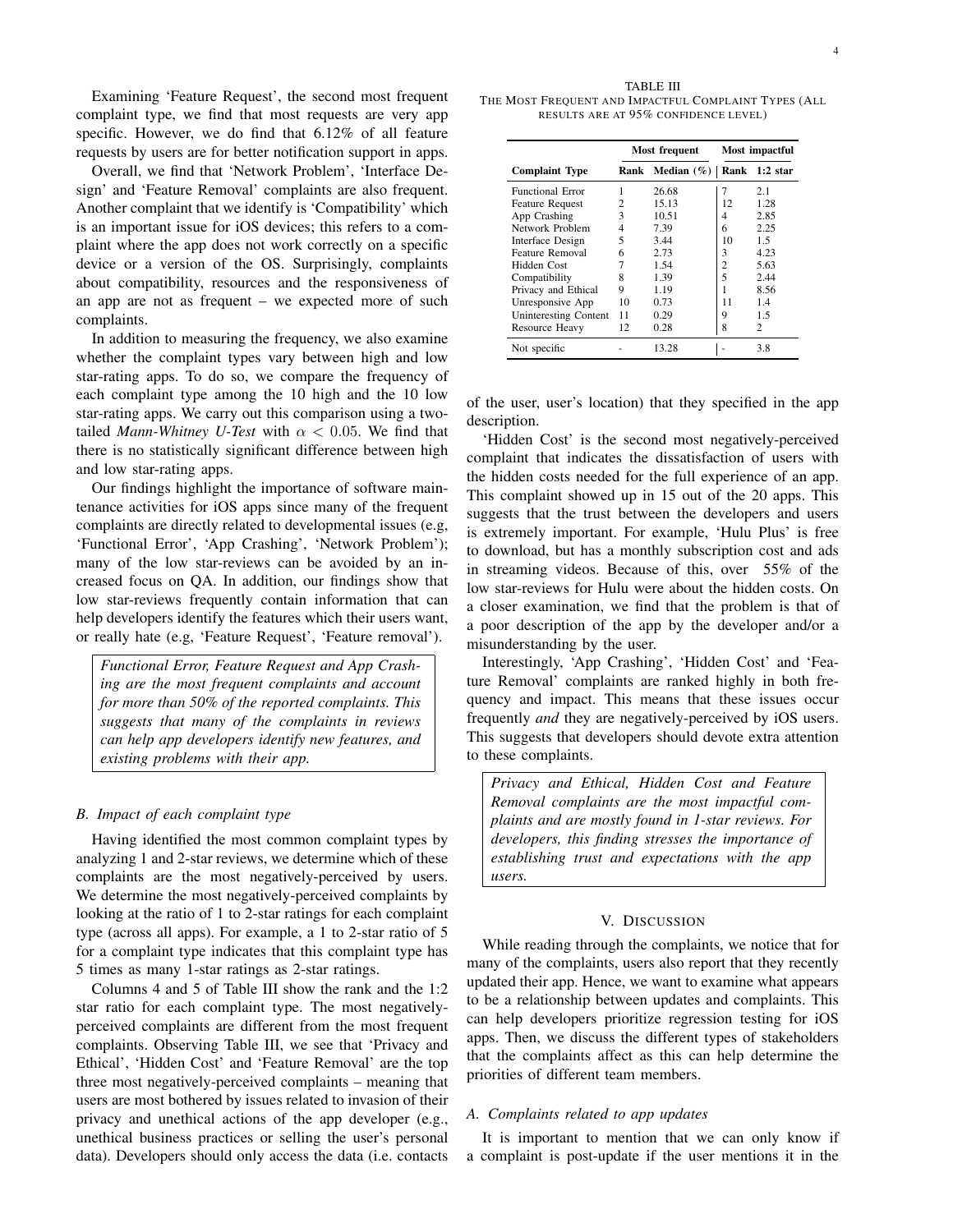Examining 'Feature Request', the second most frequent complaint type, we find that most requests are very app specific. However, we do find that 6.12% of all feature requests by users are for better notification support in apps.

Overall, we find that 'Network Problem', 'Interface Design' and 'Feature Removal' complaints are also frequent. Another complaint that we identify is 'Compatibility' which is an important issue for iOS devices; this refers to a complaint where the app does not work correctly on a specific device or a version of the OS. Surprisingly, complaints about compatibility, resources and the responsiveness of an app are not as frequent – we expected more of such complaints.

In addition to measuring the frequency, we also examine whether the complaint types vary between high and low star-rating apps. To do so, we compare the frequency of each complaint type among the 10 high and the 10 low star-rating apps. We carry out this comparison using a twotailed *Mann-Whitney U-Test* with  $\alpha$  < 0.05. We find that there is no statistically significant difference between high and low star-rating apps.

Our findings highlight the importance of software maintenance activities for iOS apps since many of the frequent complaints are directly related to developmental issues (e.g, 'Functional Error', 'App Crashing', 'Network Problem'); many of the low star-reviews can be avoided by an increased focus on QA. In addition, our findings show that low star-reviews frequently contain information that can help developers identify the features which their users want, or really hate (e.g, 'Feature Request', 'Feature removal').

*Functional Error, Feature Request and App Crashing are the most frequent complaints and account for more than 50% of the reported complaints. This suggests that many of the complaints in reviews can help app developers identify new features, and existing problems with their app.*

# *B. Impact of each complaint type*

Having identified the most common complaint types by analyzing 1 and 2-star reviews, we determine which of these complaints are the most negatively-perceived by users. We determine the most negatively-perceived complaints by looking at the ratio of 1 to 2-star ratings for each complaint type (across all apps). For example, a 1 to 2-star ratio of 5 for a complaint type indicates that this complaint type has 5 times as many 1-star ratings as 2-star ratings.

Columns 4 and 5 of Table III show the rank and the 1:2 star ratio for each complaint type. The most negativelyperceived complaints are different from the most frequent complaints. Observing Table III, we see that 'Privacy and Ethical', 'Hidden Cost' and 'Feature Removal' are the top three most negatively-perceived complaints – meaning that users are most bothered by issues related to invasion of their privacy and unethical actions of the app developer (e.g., unethical business practices or selling the user's personal data). Developers should only access the data (i.e. contacts

|                         | Most frequent |               | Most impactful |                        |
|-------------------------|---------------|---------------|----------------|------------------------|
| <b>Complaint Type</b>   | Rank          | Median $(\%)$ |                | Rank 1:2 star          |
| <b>Functional Error</b> |               | 26.68         | 7              | 2.1                    |
| <b>Feature Request</b>  | 2             | 15.13         | 12             | 1.28                   |
| App Crashing            | 3             | 10.51         | 4              | 2.85                   |
| Network Problem         | 4             | 7.39          | 6              | 2.25                   |
| Interface Design        | 5             | 3.44          | 10             | 1.5                    |
| Feature Removal         | 6             | 2.73          | 3              | 4.23                   |
| Hidden Cost             |               | 1.54          | 2              | 5.63                   |
| Compatibility           | 8             | 1.39          | 5              | 2.44                   |
| Privacy and Ethical     | 9             | 1.19          |                | 8.56                   |
| Unresponsive App        | 10            | 0.73          | 11             | 1.4                    |
| Uninteresting Content   | 11            | 0.29          | 9              | 1.5                    |
| Resource Heavy          | 12            | 0.28          | 8              | $\mathcal{D}_{\alpha}$ |
| Not specific            |               | 13.28         |                | 3.8                    |

of the user, user's location) that they specified in the app description.

'Hidden Cost' is the second most negatively-perceived complaint that indicates the dissatisfaction of users with the hidden costs needed for the full experience of an app. This complaint showed up in 15 out of the 20 apps. This suggests that the trust between the developers and users is extremely important. For example, 'Hulu Plus' is free to download, but has a monthly subscription cost and ads in streaming videos. Because of this, over 55% of the low star-reviews for Hulu were about the hidden costs. On a closer examination, we find that the problem is that of a poor description of the app by the developer and/or a misunderstanding by the user.

Interestingly, 'App Crashing', 'Hidden Cost' and 'Feature Removal' complaints are ranked highly in both frequency and impact. This means that these issues occur frequently *and* they are negatively-perceived by iOS users. This suggests that developers should devote extra attention to these complaints.

*Privacy and Ethical, Hidden Cost and Feature Removal complaints are the most impactful complaints and are mostly found in 1-star reviews. For developers, this finding stresses the importance of establishing trust and expectations with the app users.*

# V. DISCUSSION

While reading through the complaints, we notice that for many of the complaints, users also report that they recently updated their app. Hence, we want to examine what appears to be a relationship between updates and complaints. This can help developers prioritize regression testing for iOS apps. Then, we discuss the different types of stakeholders that the complaints affect as this can help determine the priorities of different team members.

# *A. Complaints related to app updates*

It is important to mention that we can only know if a complaint is post-update if the user mentions it in the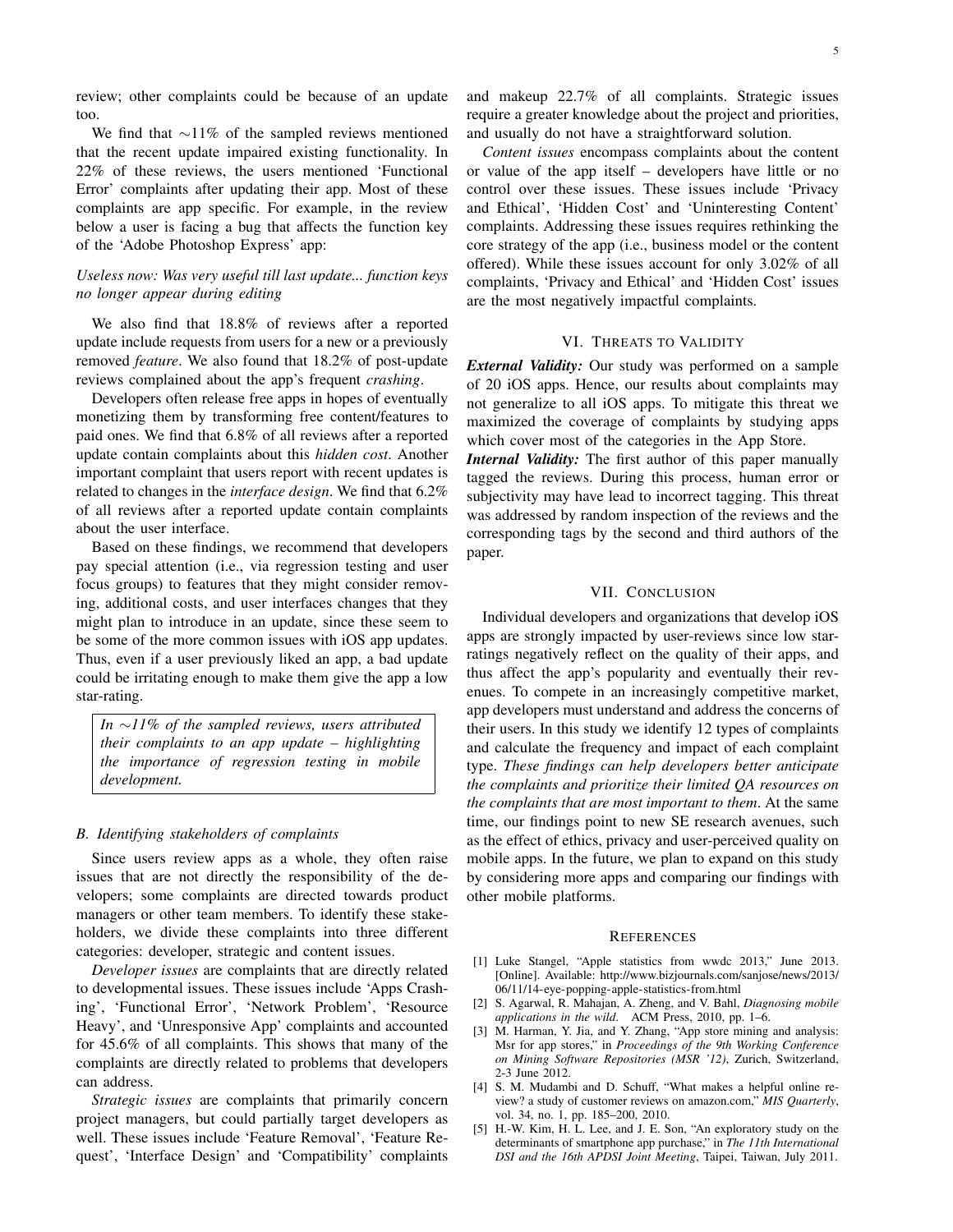review; other complaints could be because of an update too.

We find that  $\sim$ 11% of the sampled reviews mentioned that the recent update impaired existing functionality. In 22% of these reviews, the users mentioned 'Functional Error' complaints after updating their app. Most of these complaints are app specific. For example, in the review below a user is facing a bug that affects the function key of the 'Adobe Photoshop Express' app:

# *Useless now: Was very useful till last update... function keys no longer appear during editing*

We also find that 18.8% of reviews after a reported update include requests from users for a new or a previously removed *feature*. We also found that 18.2% of post-update reviews complained about the app's frequent *crashing*.

Developers often release free apps in hopes of eventually monetizing them by transforming free content/features to paid ones. We find that 6.8% of all reviews after a reported update contain complaints about this *hidden cost*. Another important complaint that users report with recent updates is related to changes in the *interface design*. We find that 6.2% of all reviews after a reported update contain complaints about the user interface.

Based on these findings, we recommend that developers pay special attention (i.e., via regression testing and user focus groups) to features that they might consider removing, additional costs, and user interfaces changes that they might plan to introduce in an update, since these seem to be some of the more common issues with iOS app updates. Thus, even if a user previously liked an app, a bad update could be irritating enough to make them give the app a low star-rating.

*In* ∼*11% of the sampled reviews, users attributed their complaints to an app update – highlighting the importance of regression testing in mobile development.*

#### *B. Identifying stakeholders of complaints*

Since users review apps as a whole, they often raise issues that are not directly the responsibility of the developers; some complaints are directed towards product managers or other team members. To identify these stakeholders, we divide these complaints into three different categories: developer, strategic and content issues.

*Developer issues* are complaints that are directly related to developmental issues. These issues include 'Apps Crashing', 'Functional Error', 'Network Problem', 'Resource Heavy', and 'Unresponsive App' complaints and accounted for 45.6% of all complaints. This shows that many of the complaints are directly related to problems that developers can address.

*Strategic issues* are complaints that primarily concern project managers, but could partially target developers as well. These issues include 'Feature Removal', 'Feature Request', 'Interface Design' and 'Compatibility' complaints and makeup 22.7% of all complaints. Strategic issues require a greater knowledge about the project and priorities, and usually do not have a straightforward solution.

*Content issues* encompass complaints about the content or value of the app itself – developers have little or no control over these issues. These issues include 'Privacy and Ethical', 'Hidden Cost' and 'Uninteresting Content' complaints. Addressing these issues requires rethinking the core strategy of the app (i.e., business model or the content offered). While these issues account for only 3.02% of all complaints, 'Privacy and Ethical' and 'Hidden Cost' issues are the most negatively impactful complaints.

# VI. THREATS TO VALIDITY

*External Validity:* Our study was performed on a sample of 20 iOS apps. Hence, our results about complaints may not generalize to all iOS apps. To mitigate this threat we maximized the coverage of complaints by studying apps which cover most of the categories in the App Store.

*Internal Validity:* The first author of this paper manually tagged the reviews. During this process, human error or subjectivity may have lead to incorrect tagging. This threat was addressed by random inspection of the reviews and the corresponding tags by the second and third authors of the paper.

# VII. CONCLUSION

Individual developers and organizations that develop iOS apps are strongly impacted by user-reviews since low starratings negatively reflect on the quality of their apps, and thus affect the app's popularity and eventually their revenues. To compete in an increasingly competitive market, app developers must understand and address the concerns of their users. In this study we identify 12 types of complaints and calculate the frequency and impact of each complaint type. *These findings can help developers better anticipate the complaints and prioritize their limited QA resources on the complaints that are most important to them*. At the same time, our findings point to new SE research avenues, such as the effect of ethics, privacy and user-perceived quality on mobile apps. In the future, we plan to expand on this study by considering more apps and comparing our findings with other mobile platforms.

#### **REFERENCES**

- [1] Luke Stangel, "Apple statistics from wwdc 2013," June 2013. [Online]. Available: http://www.bizjournals.com/sanjose/news/2013/ 06/11/14-eye-popping-apple-statistics-from.html
- [2] S. Agarwal, R. Mahajan, A. Zheng, and V. Bahl, *Diagnosing mobile applications in the wild*. ACM Press, 2010, pp. 1–6.
- [3] M. Harman, Y. Jia, and Y. Zhang, "App store mining and analysis: Msr for app stores," in *Proceedings of the 9th Working Conference on Mining Software Repositories (MSR '12)*, Zurich, Switzerland, 2-3 June 2012.
- [4] S. M. Mudambi and D. Schuff, "What makes a helpful online review? a study of customer reviews on amazon.com," *MIS Quarterly*, vol. 34, no. 1, pp. 185–200, 2010.
- [5] H.-W. Kim, H. L. Lee, and J. E. Son, "An exploratory study on the determinants of smartphone app purchase," in *The 11th International DSI and the 16th APDSI Joint Meeting*, Taipei, Taiwan, July 2011.